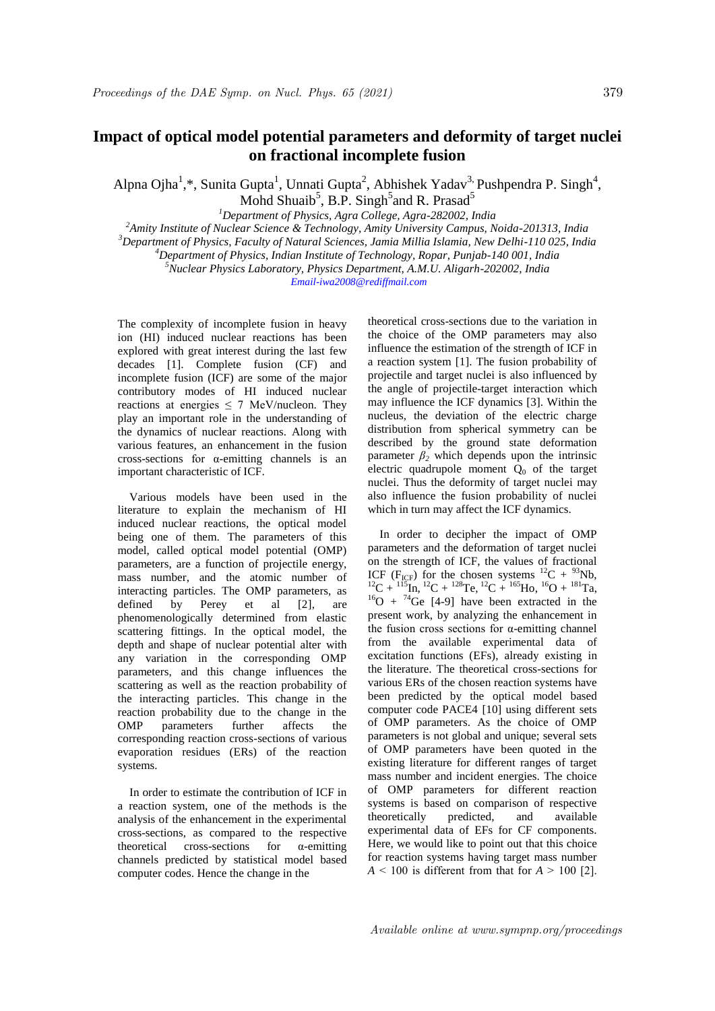## **Impact of optical model potential parameters and deformity of target nuclei on fractional incomplete fusion**

Alpna Ojha<sup>1</sup>,\*, Sunita Gupta<sup>1</sup>, Unnati Gupta<sup>2</sup>, Abhishek Yadav<sup>3,</sup> Pushpendra P. Singh<sup>4</sup>, Mohd Shuaib<sup>5</sup>, B.P. Singh<sup>5</sup> and R. Prasad<sup>5</sup>

*<sup>1</sup>Department of Physics, Agra College, Agra-282002, India*

*<sup>2</sup>Amity Institute of Nuclear Science & Technology, Amity University Campus, Noida-201313, India* 

*<sup>3</sup>Department of Physics, Faculty of Natural Sciences, Jamia Millia Islamia, New Delhi-110 025, India*

*<sup>4</sup>Department of Physics, Indian Institute of Technology, Ropar, Punjab-140 001, India*

*<sup>5</sup>Nuclear Physics Laboratory, Physics Department, A.M.U. Aligarh-202002, India Email-iwa2008@rediffmail.com*

The complexity of incomplete fusion in heavy ion (HI) induced nuclear reactions has been explored with great interest during the last few decades [1]. Complete fusion (CF) and incomplete fusion (ICF) are some of the major contributory modes of HI induced nuclear reactions at energies  $\leq$  7 MeV/nucleon. They play an important role in the understanding of the dynamics of nuclear reactions. Along with various features, an enhancement in the fusion cross-sections for α-emitting channels is an important characteristic of ICF.

 Various models have been used in the literature to explain the mechanism of HI induced nuclear reactions, the optical model being one of them. The parameters of this model, called optical model potential (OMP) parameters, are a function of projectile energy, mass number, and the atomic number of interacting particles. The OMP parameters, as defined by Perey et al [2], are phenomenologically determined from elastic scattering fittings. In the optical model, the depth and shape of nuclear potential alter with any variation in the corresponding OMP parameters, and this change influences the scattering as well as the reaction probability of the interacting particles. This change in the reaction probability due to the change in the OMP parameters further affects the corresponding reaction cross-sections of various evaporation residues (ERs) of the reaction systems.

 In order to estimate the contribution of ICF in a reaction system, one of the methods is the analysis of the enhancement in the experimental cross-sections, as compared to the respective theoretical cross-sections for  $\alpha$ -emitting channels predicted by statistical model based computer codes. Hence the change in the

theoretical cross-sections due to the variation in the choice of the OMP parameters may also influence the estimation of the strength of ICF in a reaction system [1]. The fusion probability of projectile and target nuclei is also influenced by the angle of projectile-target interaction which may influence the ICF dynamics [3]. Within the nucleus, the deviation of the electric charge distribution from spherical symmetry can be described by the ground state deformation parameter  $\beta_2$  which depends upon the intrinsic electric quadrupole moment  $\ddot{O}_0$  of the target nuclei. Thus the deformity of target nuclei may also influence the fusion probability of nuclei which in turn may affect the ICF dynamics.

 In order to decipher the impact of OMP parameters and the deformation of target nuclei on the strength of ICF, the values of fractional ICF (F<sub>ICF</sub>) for the chosen systems  $^{12}C + ^{93}Nb$ ,  $^{12}C + ^{115}In, {}^{12}C + {}^{128}Te, {}^{12}C + {}^{165}Ho, {}^{16}O + {}^{181}Ta,$  $^{16}O + ^{74}Ge$  [4-9] have been extracted in the present work, by analyzing the enhancement in the fusion cross sections for  $\alpha$ -emitting channel from the available experimental data of excitation functions (EFs), already existing in the literature. The theoretical cross-sections for various ERs of the chosen reaction systems have been predicted by the optical model based computer code PACE4 [10] using different sets of OMP parameters. As the choice of OMP parameters is not global and unique; several sets of OMP parameters have been quoted in the existing literature for different ranges of target mass number and incident energies. The choice of OMP parameters for different reaction systems is based on comparison of respective<br>theoretically predicted, and available theoretically predicted, and available experimental data of EFs for CF components. Here, we would like to point out that this choice for reaction systems having target mass number  $A \leq 100$  is different from that for  $A \geq 100$  [2].